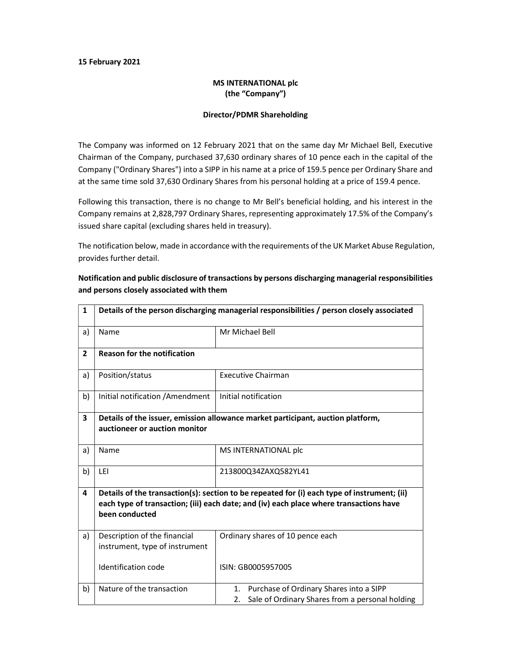### 15 February 2021

## MS INTERNATIONAL plc (the "Company")

#### Director/PDMR Shareholding

The Company was informed on 12 February 2021 that on the same day Mr Michael Bell, Executive Chairman of the Company, purchased 37,630 ordinary shares of 10 pence each in the capital of the Company ("Ordinary Shares") into a SIPP in his name at a price of 159.5 pence per Ordinary Share and at the same time sold 37,630 Ordinary Shares from his personal holding at a price of 159.4 pence.

Following this transaction, there is no change to Mr Bell's beneficial holding, and his interest in the Company remains at 2,828,797 Ordinary Shares, representing approximately 17.5% of the Company's issued share capital (excluding shares held in treasury).

The notification below, made in accordance with the requirements of the UK Market Abuse Regulation, provides further detail.

| $\mathbf{1}$            | Details of the person discharging managerial responsibilities / person closely associated                                                                                                               |                                                                                                     |  |
|-------------------------|---------------------------------------------------------------------------------------------------------------------------------------------------------------------------------------------------------|-----------------------------------------------------------------------------------------------------|--|
| a)                      | Name                                                                                                                                                                                                    | Mr Michael Bell                                                                                     |  |
| $\overline{2}$          | <b>Reason for the notification</b>                                                                                                                                                                      |                                                                                                     |  |
| a)                      | Position/status                                                                                                                                                                                         | <b>Executive Chairman</b>                                                                           |  |
| b)                      | Initial notification / Amendment                                                                                                                                                                        | Initial notification                                                                                |  |
| $\overline{\mathbf{3}}$ | Details of the issuer, emission allowance market participant, auction platform,<br>auctioneer or auction monitor                                                                                        |                                                                                                     |  |
| a)                      | Name                                                                                                                                                                                                    | MS INTERNATIONAL plc                                                                                |  |
| b)                      | LEI                                                                                                                                                                                                     | 213800Q34ZAXQ582YL41                                                                                |  |
| 4                       | Details of the transaction(s): section to be repeated for (i) each type of instrument; (ii)<br>each type of transaction; (iii) each date; and (iv) each place where transactions have<br>been conducted |                                                                                                     |  |
| a)                      | Description of the financial<br>instrument, type of instrument                                                                                                                                          | Ordinary shares of 10 pence each                                                                    |  |
|                         | Identification code                                                                                                                                                                                     | ISIN: GB0005957005                                                                                  |  |
| b)                      | Nature of the transaction                                                                                                                                                                               | 1. Purchase of Ordinary Shares into a SIPP<br>Sale of Ordinary Shares from a personal holding<br>2. |  |

## Notification and public disclosure of transactions by persons discharging managerial responsibilities and persons closely associated with them